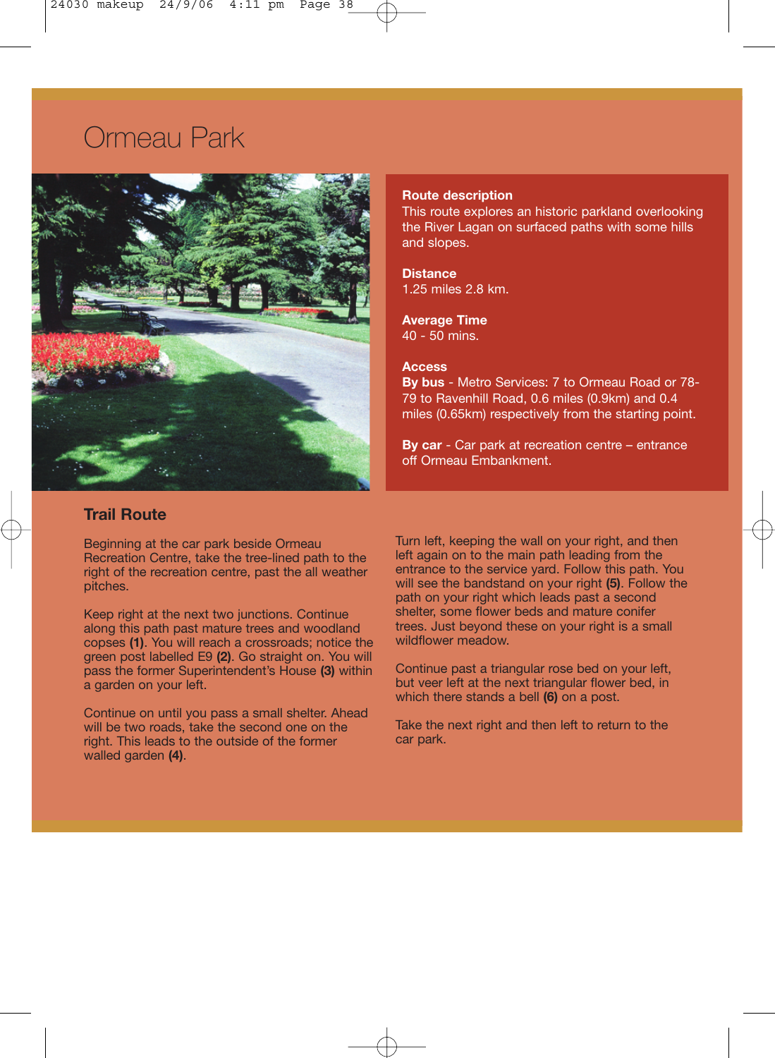# Ormeau Park



### **Route description**

This route explores an historic parkland overlooking the River Lagan on surfaced paths with some hills and slopes.

**Distance** 1.25 miles 2.8 km.

## **Average Time**

40 - 50 mins.

## **Access**

**By bus** - Metro Services: 7 to Ormeau Road or 78- 79 to Ravenhill Road, 0.6 miles (0.9km) and 0.4 miles (0.65km) respectively from the starting point.

**By car** - Car park at recreation centre – entrance off Ormeau Embankment.

## **Trail Route**

Recreation Centre, take the tree-lined path to the right of the recreation centre, past the all weather

along this path past mature trees and woodland trees. Just beyond the conses (1) You will reach a crossroads: notice the wildflower meadow. copses (1). You will reach a crossroads; notice the green post labelled E9 **(2)**. Go straight on. You will pass the former Superintendent's House **(3)** within Continue past a triangular rose bed on your left, a garden on your left.

Continue on until you pass a small shelter. Ahead will be two roads, take the second one on the Take the next right and then left to return to the right.<br>This leads to the outside of the former car park. right. This leads to the outside of the former walled garden **(4)**.

Beginning at the car park beside Ormeau Turn left, keeping the wall on your right, and then<br>Recreation Centre, take the tree-lined path to the left again on to the main path leading from the right of the recreation centre, past the all weather entrance to the service yard. Follow this path. You pitches.<br>will see the bandstand on your right (5). Follow the will see the bandstand on your right **(5)**. Follow the path on your right which leads past a second<br>shelter, some flower beds and mature conifer Keep right at the next two junctions. Continue shelter, some flower beds and mature conifer<br>along this path past mature trees and woodland trees. Just beyond these on your right is a small

> but veer left at the next triangular flower bed, in which there stands a bell **(6)** on a post.